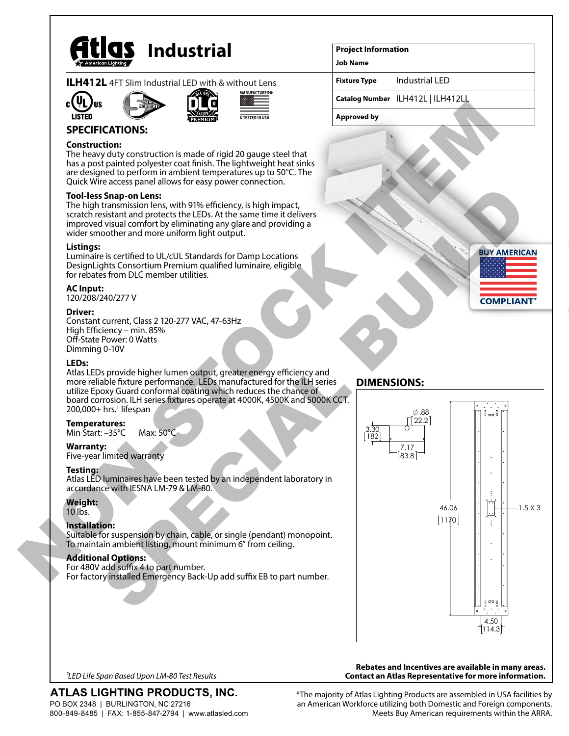

|  |  |  |  |  | <b>ILH412L</b> 4FT Slim Industrial LED with & without Lens |  |
|--|--|--|--|--|------------------------------------------------------------|--|
|  |  |  |  |  |                                                            |  |









# **SPECIFICATIONS:**

## **Construction:**

The heavy duty construction is made of rigid 20 gauge steel that has a post painted polyester coat finish. The lightweight heat sinks are designed to perform in ambient temperatures up to 50°C. The Quick Wire access panel allows for easy power connection.

## **Tool-less Snap-on Lens:**

The high transmission lens, with 91% efficiency, is high impact, scratch resistant and protects the LEDs. At the same time it delivers improved visual comfort by eliminating any glare and providing a wider smoother and more uniform light output.

#### **Listings:**

Luminaire is certified to UL/cUL Standards for Damp Locations DesignLights Consortium Premium qualified luminaire, eligible for rebates from DLC member utilities.

#### **AC Input:**

120/208/240/277 V

#### **Driver:**

Constant current, Class 2 120-277 VAC, 47-63Hz High Efficiency – min. 85% Off-State Power: 0 Watts Dimming 0-10V

#### **LEDs:**

Atlas LEDs provide higher lumen output, greater energy efficiency and more reliable fixture performance. LEDs manufactured for the ILH series utilize Epoxy Guard conformal coating which reduces the chance of board corrosion. ILH series fixtures operate at 4000K, 4500K and 5000K CCT. 200,000+ hrs.<sup>1</sup> lifespan

#### **Temperatures:**

Min Start: –35°C Max: 50°C

#### **Warranty:**

Five-year limited warranty

## **Testing:**

Atlas LED luminaires have been tested by an independent laboratory in accordance with IESNA LM-79 & LM-80.

## **Weight:**

10 lbs.

# **Installation:**

Suitable for suspension by chain, cable, or single (pendant) monopoint. To maintain ambient listing, mount minimum 6" from ceiling.

## **Additional Options:**

For 480V add suffix 4 to part number. For factory installed Emergency Back-Up add suffix EB to part number.

## **Project Information**

**Job Name**

**Fixture Type** Industrial LED

**Catalog Number** ILH412L | ILH412LL

**Approved by**



# **DIMENSIONS:**



*1LED Life Span Based Upon LM-80 Test Results*

# ATLAS LIGHTING PRODUCTS, INC.

PO BOX 2348 | BURLINGTON, NC 27216 800-849-8485 | FAX: 1-855-847-2794 | www.atlasled.com \*The majority of Atlas Lighting Products are assembled in USA facilities by an American Workforce utilizing both Domestic and Foreign components. Meets Buy American requirements within the ARRA.

**Rebates and Incentives are available in many areas. Contact an Atlas Representative for more information.**